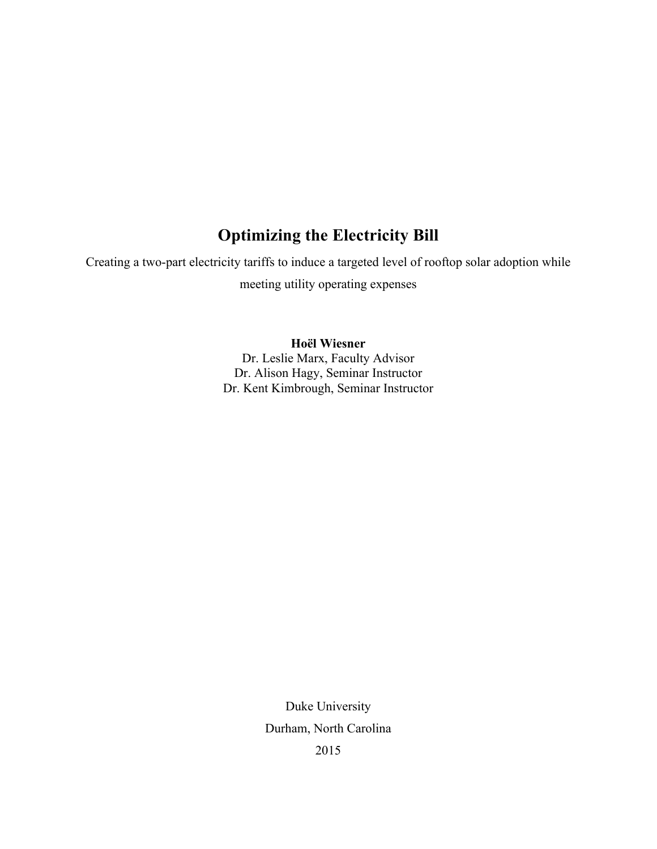# **Optimizing the Electricity Bill**

Creating a two-part electricity tariffs to induce a targeted level of rooftop solar adoption while meeting utility operating expenses

> **Hoël Wiesner** Dr. Leslie Marx, Faculty Advisor Dr. Alison Hagy, Seminar Instructor Dr. Kent Kimbrough, Seminar Instructor

> > Duke University Durham, North Carolina 2015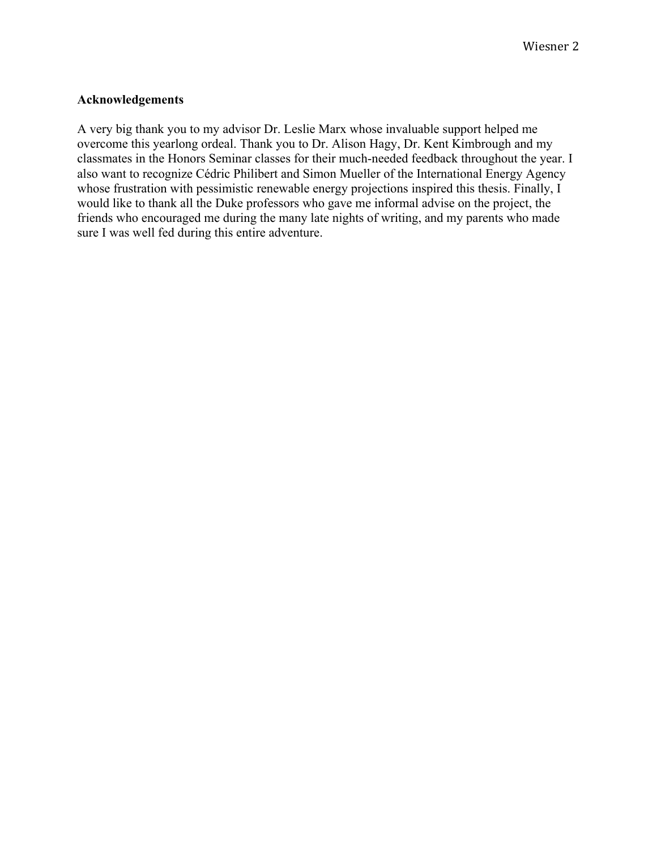# **Acknowledgements**

A very big thank you to my advisor Dr. Leslie Marx whose invaluable support helped me overcome this yearlong ordeal. Thank you to Dr. Alison Hagy, Dr. Kent Kimbrough and my classmates in the Honors Seminar classes for their much-needed feedback throughout the year. I also want to recognize Cédric Philibert and Simon Mueller of the International Energy Agency whose frustration with pessimistic renewable energy projections inspired this thesis. Finally, I would like to thank all the Duke professors who gave me informal advise on the project, the friends who encouraged me during the many late nights of writing, and my parents who made sure I was well fed during this entire adventure.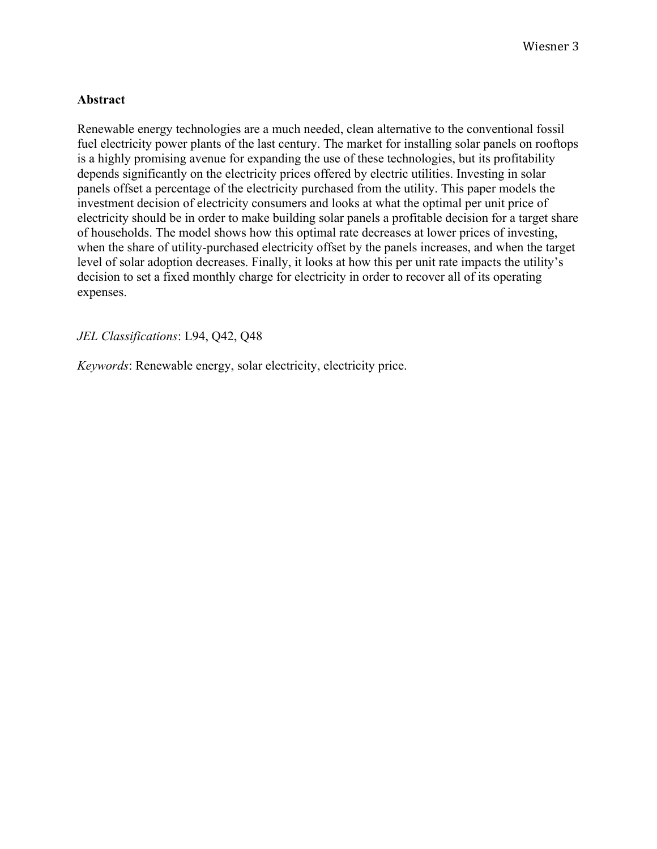# **Abstract**

Renewable energy technologies are a much needed, clean alternative to the conventional fossil fuel electricity power plants of the last century. The market for installing solar panels on rooftops is a highly promising avenue for expanding the use of these technologies, but its profitability depends significantly on the electricity prices offered by electric utilities. Investing in solar panels offset a percentage of the electricity purchased from the utility. This paper models the investment decision of electricity consumers and looks at what the optimal per unit price of electricity should be in order to make building solar panels a profitable decision for a target share of households. The model shows how this optimal rate decreases at lower prices of investing, when the share of utility-purchased electricity offset by the panels increases, and when the target level of solar adoption decreases. Finally, it looks at how this per unit rate impacts the utility's decision to set a fixed monthly charge for electricity in order to recover all of its operating expenses.

*JEL Classifications*: L94, Q42, Q48

*Keywords*: Renewable energy, solar electricity, electricity price.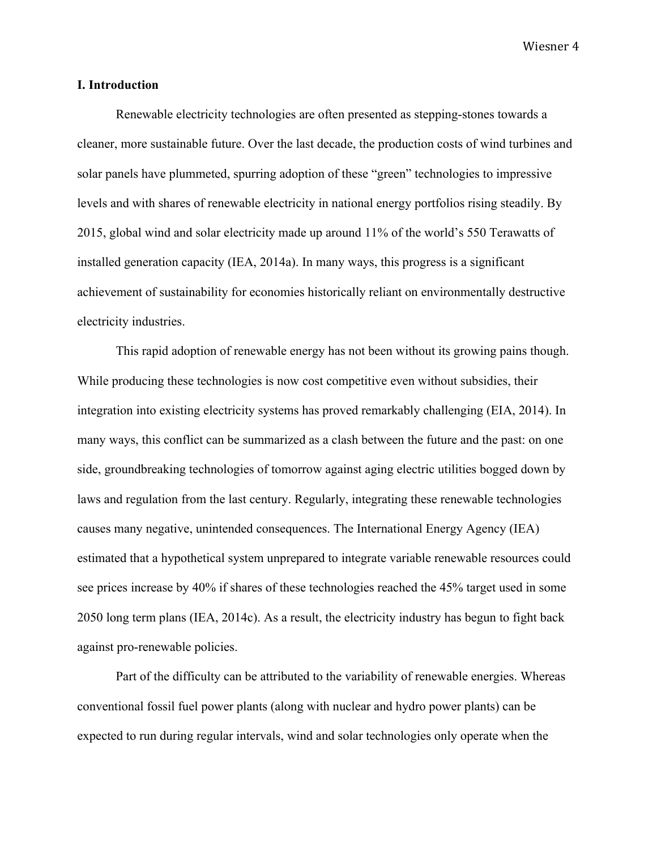## **I. Introduction**

Renewable electricity technologies are often presented as stepping-stones towards a cleaner, more sustainable future. Over the last decade, the production costs of wind turbines and solar panels have plummeted, spurring adoption of these "green" technologies to impressive levels and with shares of renewable electricity in national energy portfolios rising steadily. By 2015, global wind and solar electricity made up around 11% of the world's 550 Terawatts of installed generation capacity (IEA, 2014a). In many ways, this progress is a significant achievement of sustainability for economies historically reliant on environmentally destructive electricity industries.

This rapid adoption of renewable energy has not been without its growing pains though. While producing these technologies is now cost competitive even without subsidies, their integration into existing electricity systems has proved remarkably challenging (EIA, 2014). In many ways, this conflict can be summarized as a clash between the future and the past: on one side, groundbreaking technologies of tomorrow against aging electric utilities bogged down by laws and regulation from the last century. Regularly, integrating these renewable technologies causes many negative, unintended consequences. The International Energy Agency (IEA) estimated that a hypothetical system unprepared to integrate variable renewable resources could see prices increase by 40% if shares of these technologies reached the 45% target used in some 2050 long term plans (IEA, 2014c). As a result, the electricity industry has begun to fight back against pro-renewable policies.

Part of the difficulty can be attributed to the variability of renewable energies. Whereas conventional fossil fuel power plants (along with nuclear and hydro power plants) can be expected to run during regular intervals, wind and solar technologies only operate when the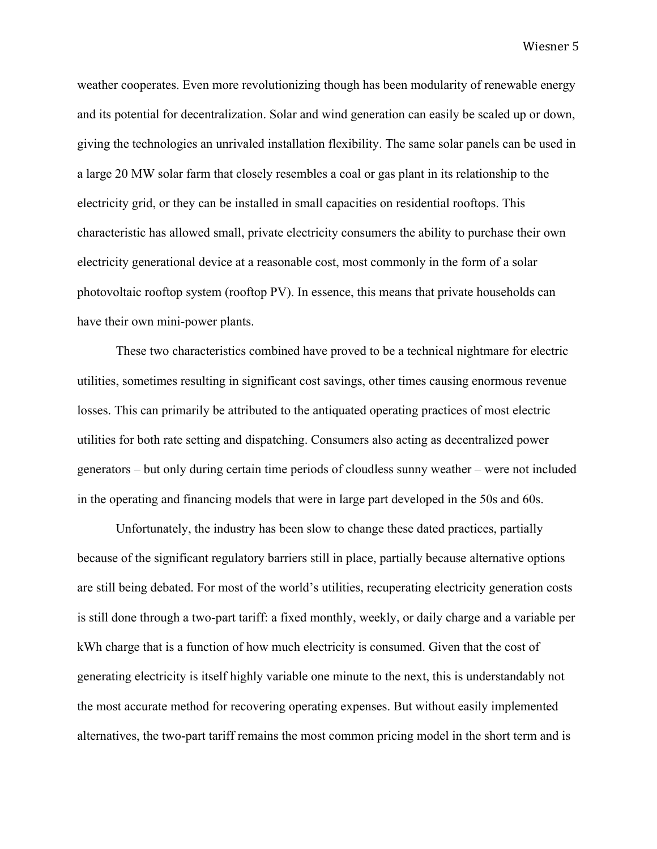weather cooperates. Even more revolutionizing though has been modularity of renewable energy and its potential for decentralization. Solar and wind generation can easily be scaled up or down, giving the technologies an unrivaled installation flexibility. The same solar panels can be used in a large 20 MW solar farm that closely resembles a coal or gas plant in its relationship to the electricity grid, or they can be installed in small capacities on residential rooftops. This characteristic has allowed small, private electricity consumers the ability to purchase their own electricity generational device at a reasonable cost, most commonly in the form of a solar photovoltaic rooftop system (rooftop PV). In essence, this means that private households can have their own mini-power plants.

These two characteristics combined have proved to be a technical nightmare for electric utilities, sometimes resulting in significant cost savings, other times causing enormous revenue losses. This can primarily be attributed to the antiquated operating practices of most electric utilities for both rate setting and dispatching. Consumers also acting as decentralized power generators – but only during certain time periods of cloudless sunny weather – were not included in the operating and financing models that were in large part developed in the 50s and 60s.

Unfortunately, the industry has been slow to change these dated practices, partially because of the significant regulatory barriers still in place, partially because alternative options are still being debated. For most of the world's utilities, recuperating electricity generation costs is still done through a two-part tariff: a fixed monthly, weekly, or daily charge and a variable per kWh charge that is a function of how much electricity is consumed. Given that the cost of generating electricity is itself highly variable one minute to the next, this is understandably not the most accurate method for recovering operating expenses. But without easily implemented alternatives, the two-part tariff remains the most common pricing model in the short term and is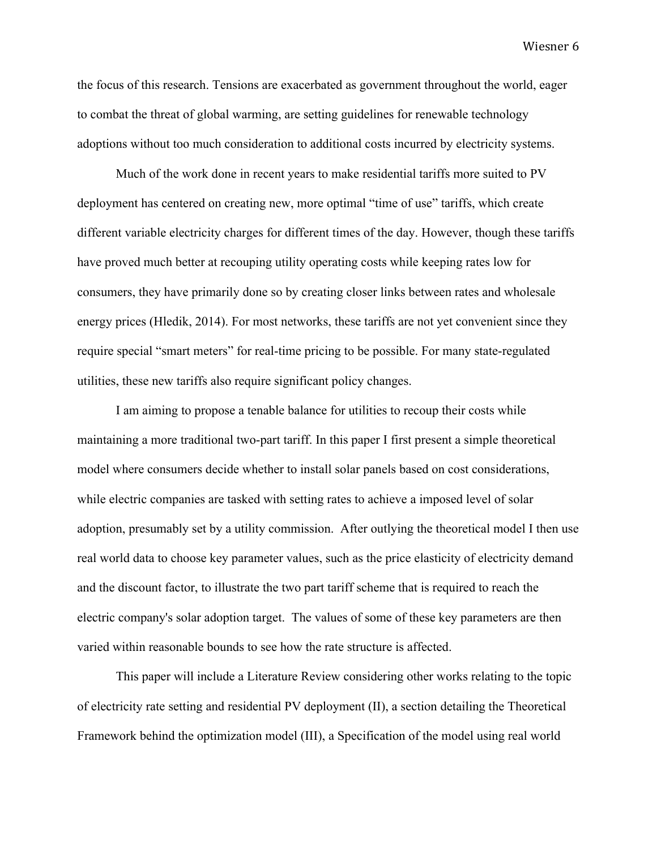the focus of this research. Tensions are exacerbated as government throughout the world, eager to combat the threat of global warming, are setting guidelines for renewable technology adoptions without too much consideration to additional costs incurred by electricity systems.

Much of the work done in recent years to make residential tariffs more suited to PV deployment has centered on creating new, more optimal "time of use" tariffs, which create different variable electricity charges for different times of the day. However, though these tariffs have proved much better at recouping utility operating costs while keeping rates low for consumers, they have primarily done so by creating closer links between rates and wholesale energy prices (Hledik, 2014). For most networks, these tariffs are not yet convenient since they require special "smart meters" for real-time pricing to be possible. For many state-regulated utilities, these new tariffs also require significant policy changes.

I am aiming to propose a tenable balance for utilities to recoup their costs while maintaining a more traditional two-part tariff. In this paper I first present a simple theoretical model where consumers decide whether to install solar panels based on cost considerations, while electric companies are tasked with setting rates to achieve a imposed level of solar adoption, presumably set by a utility commission. After outlying the theoretical model I then use real world data to choose key parameter values, such as the price elasticity of electricity demand and the discount factor, to illustrate the two part tariff scheme that is required to reach the electric company's solar adoption target. The values of some of these key parameters are then varied within reasonable bounds to see how the rate structure is affected.

This paper will include a Literature Review considering other works relating to the topic of electricity rate setting and residential PV deployment (II), a section detailing the Theoretical Framework behind the optimization model (III), a Specification of the model using real world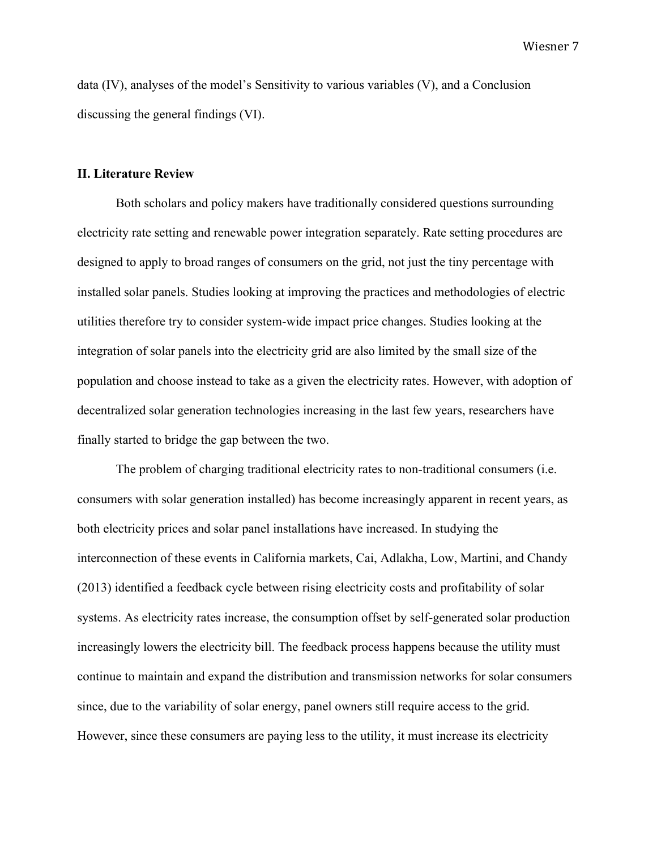data (IV), analyses of the model's Sensitivity to various variables (V), and a Conclusion discussing the general findings (VI).

### **II. Literature Review**

Both scholars and policy makers have traditionally considered questions surrounding electricity rate setting and renewable power integration separately. Rate setting procedures are designed to apply to broad ranges of consumers on the grid, not just the tiny percentage with installed solar panels. Studies looking at improving the practices and methodologies of electric utilities therefore try to consider system-wide impact price changes. Studies looking at the integration of solar panels into the electricity grid are also limited by the small size of the population and choose instead to take as a given the electricity rates. However, with adoption of decentralized solar generation technologies increasing in the last few years, researchers have finally started to bridge the gap between the two.

The problem of charging traditional electricity rates to non-traditional consumers (i.e. consumers with solar generation installed) has become increasingly apparent in recent years, as both electricity prices and solar panel installations have increased. In studying the interconnection of these events in California markets, Cai, Adlakha, Low, Martini, and Chandy (2013) identified a feedback cycle between rising electricity costs and profitability of solar systems. As electricity rates increase, the consumption offset by self-generated solar production increasingly lowers the electricity bill. The feedback process happens because the utility must continue to maintain and expand the distribution and transmission networks for solar consumers since, due to the variability of solar energy, panel owners still require access to the grid. However, since these consumers are paying less to the utility, it must increase its electricity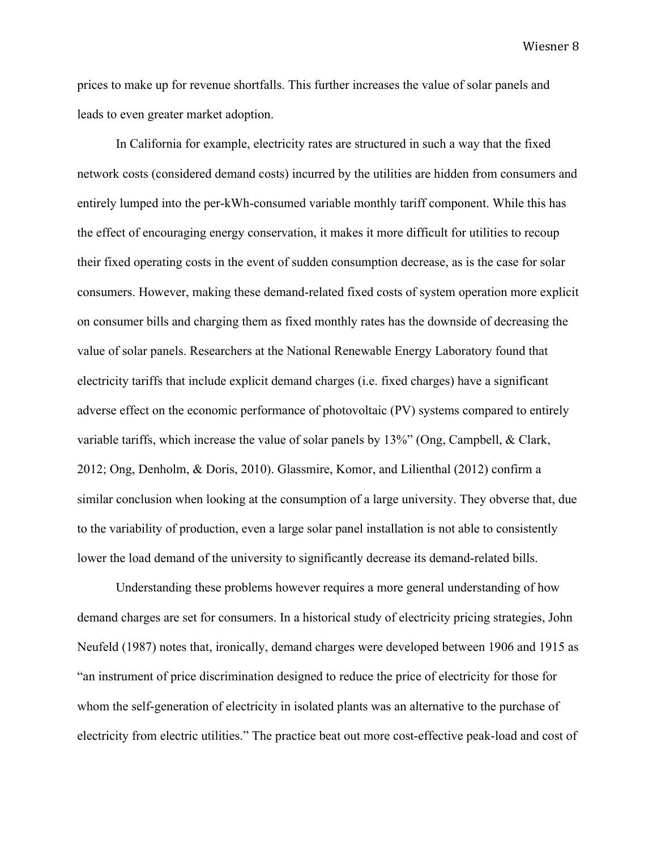prices to make up for revenue shortfalls. This further increases the value of solar panels and leads to even greater market adoption.

In California for example, electricity rates are structured in such a way that the fixed network costs (considered demand costs) incurred by the utilities are hidden from consumers and entirely lumped into the per-kWh-consumed variable monthly tariff component. While this has the effect of encouraging energy conservation, it makes it more difficult for utilities to recoup their fixed operating costs in the event of sudden consumption decrease, as is the case for solar consumers. However, making these demand-related fixed costs of system operation more explicit on consumer bills and charging them as fixed monthly rates has the downside of decreasing the value of solar panels. Researchers at the National Renewable Energy Laboratory found that electricity tariffs that include explicit demand charges (i.e. fixed charges) have a significant adverse effect on the economic performance of photovoltaic (PV) systems compared to entirely variable tariffs, which increase the value of solar panels by 13%" (Ong, Campbell, & Clark, 2012; Ong, Denholm, & Doris, 2010). Glassmire, Komor, and Lilienthal (2012) confirm a similar conclusion when looking at the consumption of a large university. They obverse that, due to the variability of production, even a large solar panel installation is not able to consistently lower the load demand of the university to significantly decrease its demand-related bills.

Understanding these problems however requires a more general understanding of how demand charges are set for consumers. In a historical study of electricity pricing strategies, John Neufeld (1987) notes that, ironically, demand charges were developed between 1906 and 1915 as "an instrument of price discrimination designed to reduce the price of electricity for those for whom the self-generation of electricity in isolated plants was an alternative to the purchase of electricity from electric utilities." The practice beat out more cost-effective peak-load and cost of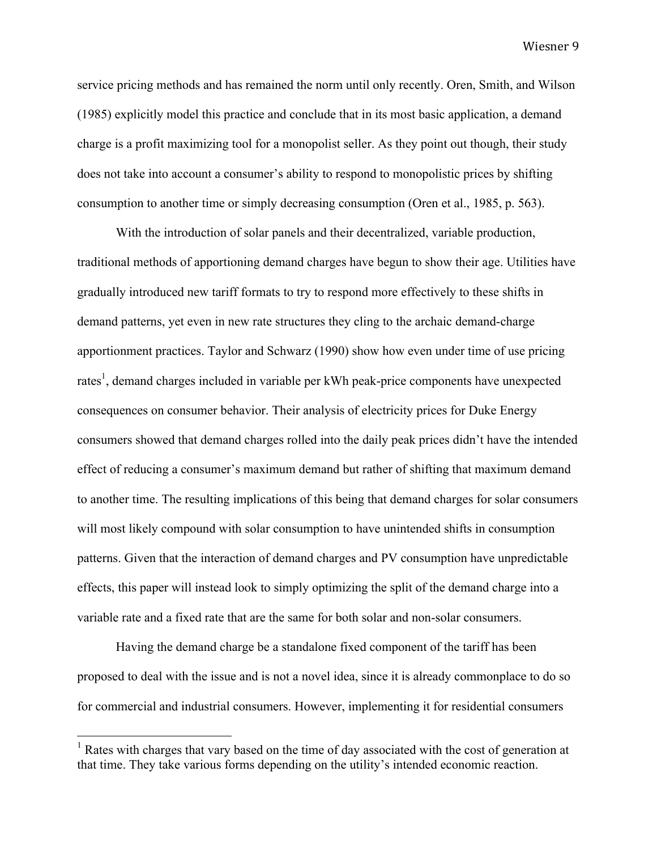service pricing methods and has remained the norm until only recently. Oren, Smith, and Wilson (1985) explicitly model this practice and conclude that in its most basic application, a demand charge is a profit maximizing tool for a monopolist seller. As they point out though, their study does not take into account a consumer's ability to respond to monopolistic prices by shifting consumption to another time or simply decreasing consumption (Oren et al., 1985, p. 563).

With the introduction of solar panels and their decentralized, variable production, traditional methods of apportioning demand charges have begun to show their age. Utilities have gradually introduced new tariff formats to try to respond more effectively to these shifts in demand patterns, yet even in new rate structures they cling to the archaic demand-charge apportionment practices. Taylor and Schwarz (1990) show how even under time of use pricing rates<sup>1</sup>, demand charges included in variable per kWh peak-price components have unexpected consequences on consumer behavior. Their analysis of electricity prices for Duke Energy consumers showed that demand charges rolled into the daily peak prices didn't have the intended effect of reducing a consumer's maximum demand but rather of shifting that maximum demand to another time. The resulting implications of this being that demand charges for solar consumers will most likely compound with solar consumption to have unintended shifts in consumption patterns. Given that the interaction of demand charges and PV consumption have unpredictable effects, this paper will instead look to simply optimizing the split of the demand charge into a variable rate and a fixed rate that are the same for both solar and non-solar consumers.

Having the demand charge be a standalone fixed component of the tariff has been proposed to deal with the issue and is not a novel idea, since it is already commonplace to do so for commercial and industrial consumers. However, implementing it for residential consumers

<sup>&</sup>lt;sup>1</sup> Rates with charges that vary based on the time of day associated with the cost of generation at that time. They take various forms depending on the utility's intended economic reaction.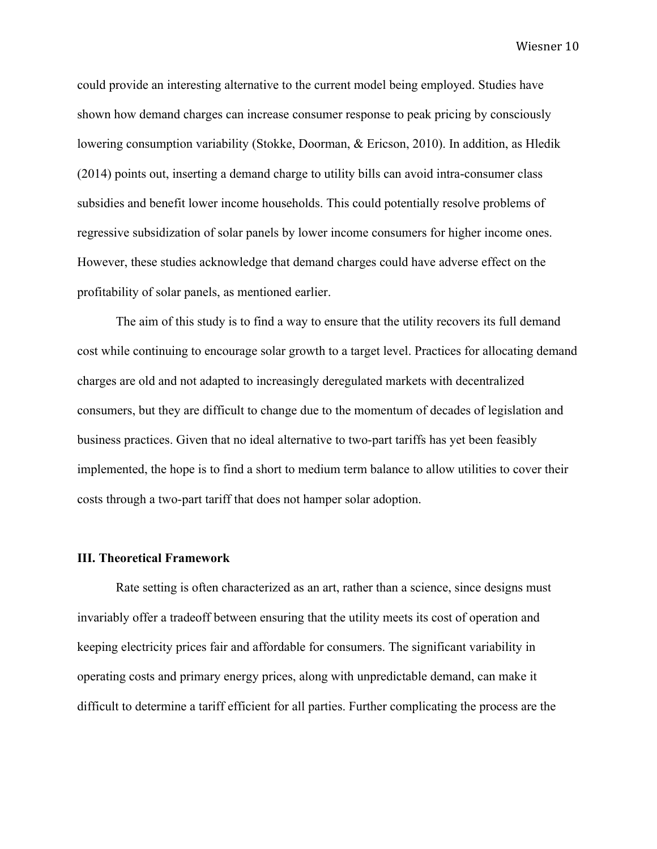could provide an interesting alternative to the current model being employed. Studies have shown how demand charges can increase consumer response to peak pricing by consciously lowering consumption variability (Stokke, Doorman, & Ericson, 2010). In addition, as Hledik (2014) points out, inserting a demand charge to utility bills can avoid intra-consumer class subsidies and benefit lower income households. This could potentially resolve problems of regressive subsidization of solar panels by lower income consumers for higher income ones. However, these studies acknowledge that demand charges could have adverse effect on the profitability of solar panels, as mentioned earlier.

The aim of this study is to find a way to ensure that the utility recovers its full demand cost while continuing to encourage solar growth to a target level. Practices for allocating demand charges are old and not adapted to increasingly deregulated markets with decentralized consumers, but they are difficult to change due to the momentum of decades of legislation and business practices. Given that no ideal alternative to two-part tariffs has yet been feasibly implemented, the hope is to find a short to medium term balance to allow utilities to cover their costs through a two-part tariff that does not hamper solar adoption.

### **III. Theoretical Framework**

Rate setting is often characterized as an art, rather than a science, since designs must invariably offer a tradeoff between ensuring that the utility meets its cost of operation and keeping electricity prices fair and affordable for consumers. The significant variability in operating costs and primary energy prices, along with unpredictable demand, can make it difficult to determine a tariff efficient for all parties. Further complicating the process are the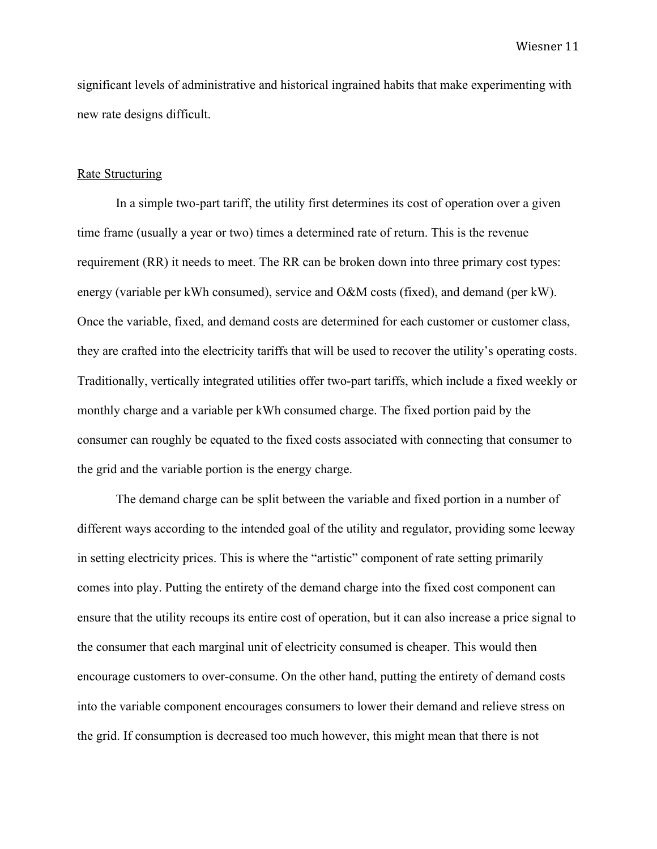significant levels of administrative and historical ingrained habits that make experimenting with new rate designs difficult.

#### Rate Structuring

In a simple two-part tariff, the utility first determines its cost of operation over a given time frame (usually a year or two) times a determined rate of return. This is the revenue requirement (RR) it needs to meet. The RR can be broken down into three primary cost types: energy (variable per kWh consumed), service and O&M costs (fixed), and demand (per kW). Once the variable, fixed, and demand costs are determined for each customer or customer class, they are crafted into the electricity tariffs that will be used to recover the utility's operating costs. Traditionally, vertically integrated utilities offer two-part tariffs, which include a fixed weekly or monthly charge and a variable per kWh consumed charge. The fixed portion paid by the consumer can roughly be equated to the fixed costs associated with connecting that consumer to the grid and the variable portion is the energy charge.

The demand charge can be split between the variable and fixed portion in a number of different ways according to the intended goal of the utility and regulator, providing some leeway in setting electricity prices. This is where the "artistic" component of rate setting primarily comes into play. Putting the entirety of the demand charge into the fixed cost component can ensure that the utility recoups its entire cost of operation, but it can also increase a price signal to the consumer that each marginal unit of electricity consumed is cheaper. This would then encourage customers to over-consume. On the other hand, putting the entirety of demand costs into the variable component encourages consumers to lower their demand and relieve stress on the grid. If consumption is decreased too much however, this might mean that there is not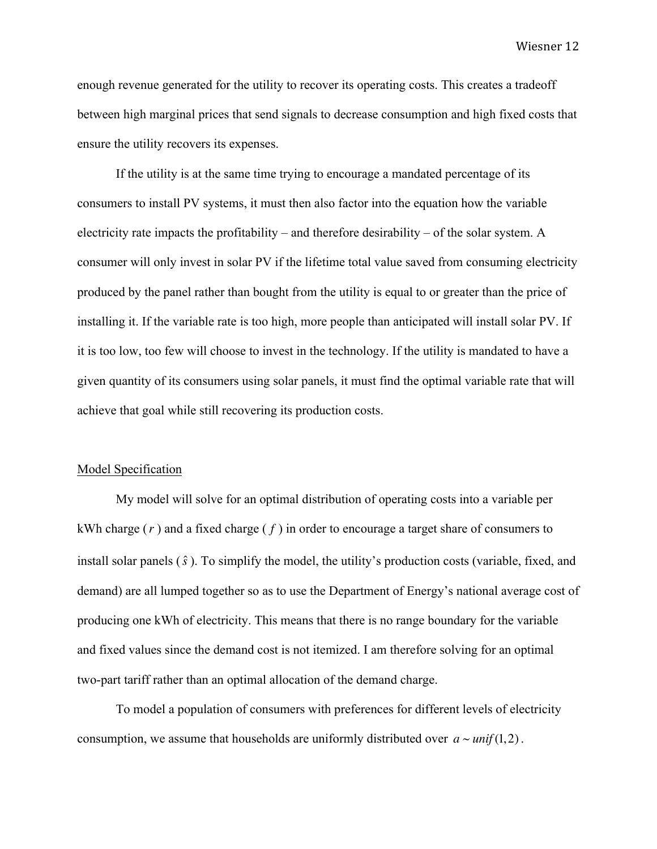enough revenue generated for the utility to recover its operating costs. This creates a tradeoff between high marginal prices that send signals to decrease consumption and high fixed costs that ensure the utility recovers its expenses.

If the utility is at the same time trying to encourage a mandated percentage of its consumers to install PV systems, it must then also factor into the equation how the variable electricity rate impacts the profitability – and therefore desirability – of the solar system. A consumer will only invest in solar PV if the lifetime total value saved from consuming electricity produced by the panel rather than bought from the utility is equal to or greater than the price of installing it. If the variable rate is too high, more people than anticipated will install solar PV. If it is too low, too few will choose to invest in the technology. If the utility is mandated to have a given quantity of its consumers using solar panels, it must find the optimal variable rate that will achieve that goal while still recovering its production costs.

### Model Specification

My model will solve for an optimal distribution of operating costs into a variable per kWh charge (*r* ) and a fixed charge ( *f* ) in order to encourage a target share of consumers to install solar panels (*s*ˆ). To simplify the model, the utility's production costs (variable, fixed, and demand) are all lumped together so as to use the Department of Energy's national average cost of producing one kWh of electricity. This means that there is no range boundary for the variable and fixed values since the demand cost is not itemized. I am therefore solving for an optimal two-part tariff rather than an optimal allocation of the demand charge.

To model a population of consumers with preferences for different levels of electricity consumption, we assume that households are uniformly distributed over  $a \sim unit(1,2)$ .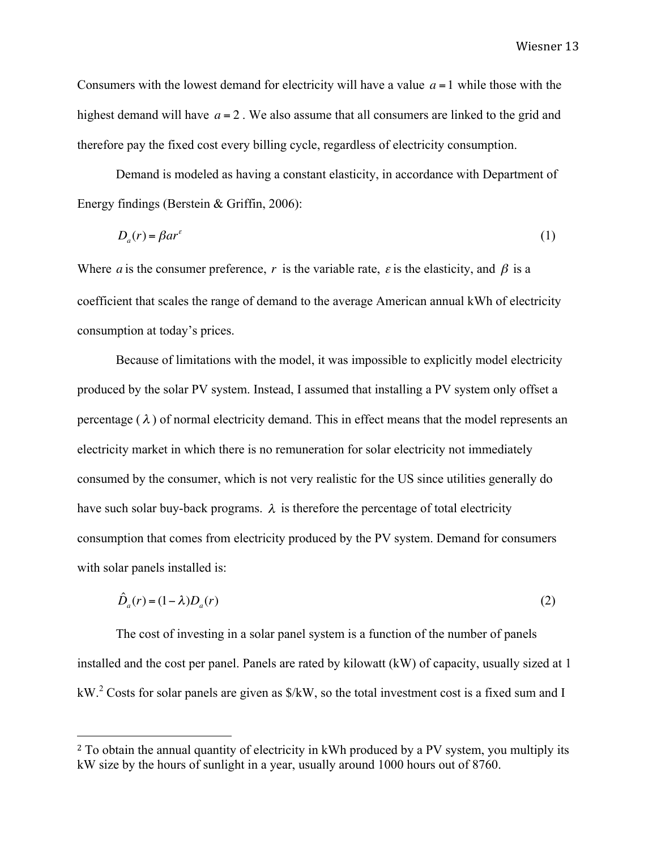Consumers with the lowest demand for electricity will have a value  $a = 1$  while those with the highest demand will have  $a = 2$ . We also assume that all consumers are linked to the grid and therefore pay the fixed cost every billing cycle, regardless of electricity consumption.

Demand is modeled as having a constant elasticity, in accordance with Department of Energy findings (Berstein & Griffin, 2006):

$$
D_a(r) = \beta a r^{\varepsilon} \tag{1}
$$

Where *a* is the consumer preference, *r* is the variable rate,  $\varepsilon$  is the elasticity, and  $\beta$  is a coefficient that scales the range of demand to the average American annual kWh of electricity consumption at today's prices.

Because of limitations with the model, it was impossible to explicitly model electricity produced by the solar PV system. Instead, I assumed that installing a PV system only offset a percentage  $(\lambda)$  of normal electricity demand. This in effect means that the model represents an electricity market in which there is no remuneration for solar electricity not immediately consumed by the consumer, which is not very realistic for the US since utilities generally do have such solar buy-back programs.  $\lambda$  is therefore the percentage of total electricity consumption that comes from electricity produced by the PV system. Demand for consumers with solar panels installed is:

$$
\hat{D}_a(r) = (1 - \lambda)D_a(r) \tag{2}
$$

The cost of investing in a solar panel system is a function of the number of panels installed and the cost per panel. Panels are rated by kilowatt (kW) of capacity, usually sized at 1 kW.<sup>2</sup> Costs for solar panels are given as  $\frac{K}{W}$ , so the total investment cost is a fixed sum and I

 

<sup>&</sup>lt;sup>2</sup> To obtain the annual quantity of electricity in kWh produced by a PV system, you multiply its kW size by the hours of sunlight in a year, usually around 1000 hours out of 8760.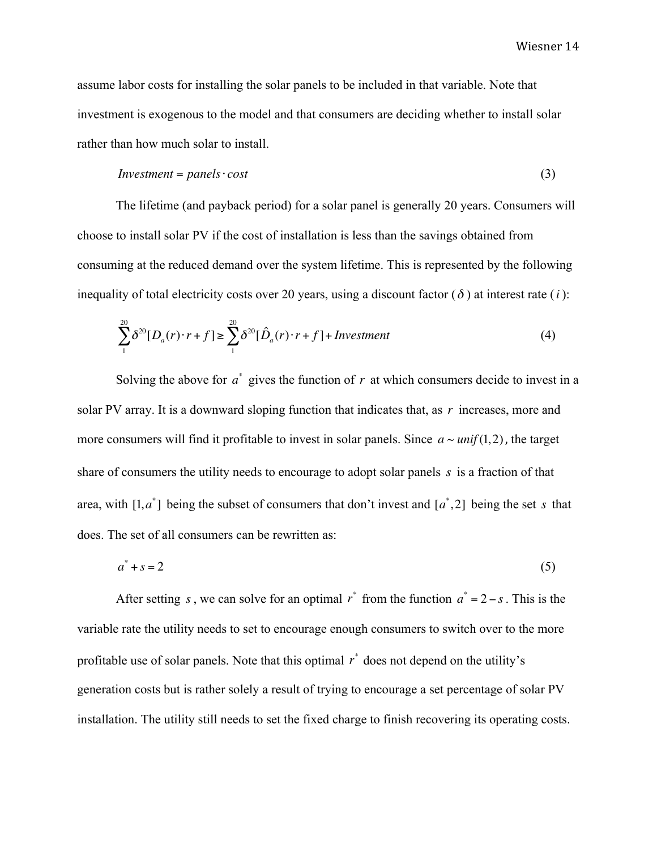assume labor costs for installing the solar panels to be included in that variable. Note that investment is exogenous to the model and that consumers are deciding whether to install solar rather than how much solar to install.

$$
Investment = panels \cdot cost \tag{3}
$$

The lifetime (and payback period) for a solar panel is generally 20 years. Consumers will choose to install solar PV if the cost of installation is less than the savings obtained from consuming at the reduced demand over the system lifetime. This is represented by the following inequality of total electricity costs over 20 years, using a discount factor  $(\delta)$  at interest rate  $(i)$ :

$$
\sum_{1}^{20} \delta^{20} [D_a(r) \cdot r + f] \ge \sum_{1}^{20} \delta^{20} [\hat{D}_a(r) \cdot r + f] + Investment \tag{4}
$$

Solving the above for  $a^*$  gives the function of  $r$  at which consumers decide to invest in a solar PV array. It is a downward sloping function that indicates that, as *r* increases, more and more consumers will find it profitable to invest in solar panels. Since  $a \sim \text{unif}(1,2)$ , the target share of consumers the utility needs to encourage to adopt solar panels *s* is a fraction of that area, with  $[1, a^*]$  being the subset of consumers that don't invest and  $[a^*, 2]$  being the set *s* that does. The set of all consumers can be rewritten as:

$$
a^* + s = 2 \tag{5}
$$

After setting *s*, we can solve for an optimal  $r^*$  from the function  $a^* = 2 - s$ . This is the variable rate the utility needs to set to encourage enough consumers to switch over to the more profitable use of solar panels. Note that this optimal *r* \* does not depend on the utility's generation costs but is rather solely a result of trying to encourage a set percentage of solar PV installation. The utility still needs to set the fixed charge to finish recovering its operating costs.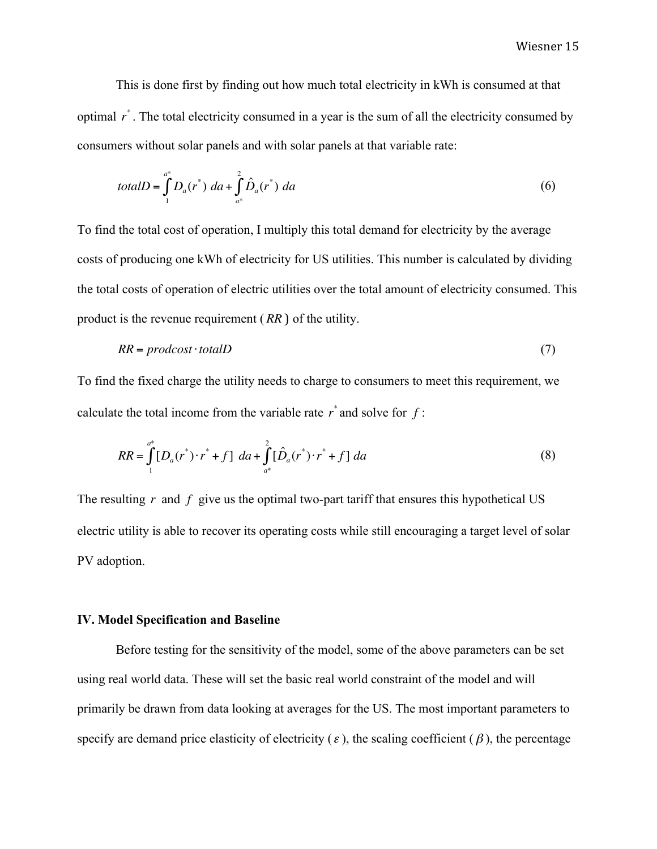This is done first by finding out how much total electricity in kWh is consumed at that optimal *r* \* . The total electricity consumed in a year is the sum of all the electricity consumed by consumers without solar panels and with solar panels at that variable rate:

$$
totalD = \int_{1}^{a^*} D_a(r^*) \, da + \int_{a^*}^{2} \hat{D}_a(r^*) \, da \tag{6}
$$

To find the total cost of operation, I multiply this total demand for electricity by the average costs of producing one kWh of electricity for US utilities. This number is calculated by dividing the total costs of operation of electric utilities over the total amount of electricity consumed. This product is the revenue requirement ( *RR* ) of the utility.

$$
RR = \text{product} \cdot \text{total}D \tag{7}
$$

To find the fixed charge the utility needs to charge to consumers to meet this requirement, we calculate the total income from the variable rate  $r^*$  and solve for  $f$ :

$$
RR = \int_{1}^{a^*} [D_a(r^*) \cdot r^* + f] da + \int_{a^*}^{2} [\hat{D}_a(r^*) \cdot r^* + f] da
$$
 (8)

The resulting *r* and *f* give us the optimal two-part tariff that ensures this hypothetical US electric utility is able to recover its operating costs while still encouraging a target level of solar PV adoption.

## **IV. Model Specification and Baseline**

Before testing for the sensitivity of the model, some of the above parameters can be set using real world data. These will set the basic real world constraint of the model and will primarily be drawn from data looking at averages for the US. The most important parameters to specify are demand price elasticity of electricity ( $\varepsilon$ ), the scaling coefficient ( $\beta$ ), the percentage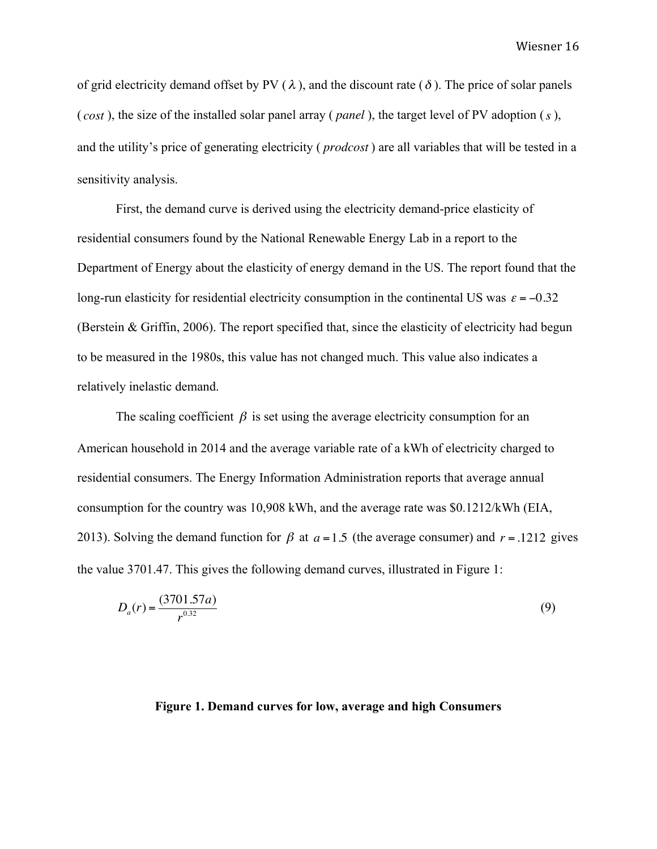of grid electricity demand offset by PV ( $\lambda$ ), and the discount rate ( $\delta$ ). The price of solar panels ( *cost* ), the size of the installed solar panel array ( *panel* ), the target level of PV adoption (*s* ), and the utility's price of generating electricity ( *prodcost* ) are all variables that will be tested in a sensitivity analysis.

First, the demand curve is derived using the electricity demand-price elasticity of residential consumers found by the National Renewable Energy Lab in a report to the Department of Energy about the elasticity of energy demand in the US. The report found that the long-run elasticity for residential electricity consumption in the continental US was  $\varepsilon = -0.32$ (Berstein  $\&$  Griffin, 2006). The report specified that, since the elasticity of electricity had begun to be measured in the 1980s, this value has not changed much. This value also indicates a relatively inelastic demand.

The scaling coefficient  $\beta$  is set using the average electricity consumption for an American household in 2014 and the average variable rate of a kWh of electricity charged to residential consumers. The Energy Information Administration reports that average annual consumption for the country was 10,908 kWh, and the average rate was \$0.1212/kWh (EIA, 2013). Solving the demand function for  $\beta$  at  $a = 1.5$  (the average consumer) and  $r = .1212$  gives the value 3701.47. This gives the following demand curves, illustrated in Figure 1:

$$
D_a(r) = \frac{(3701.57a)}{r^{0.32}}
$$
\n(9)

# **Figure 1. Demand curves for low, average and high Consumers**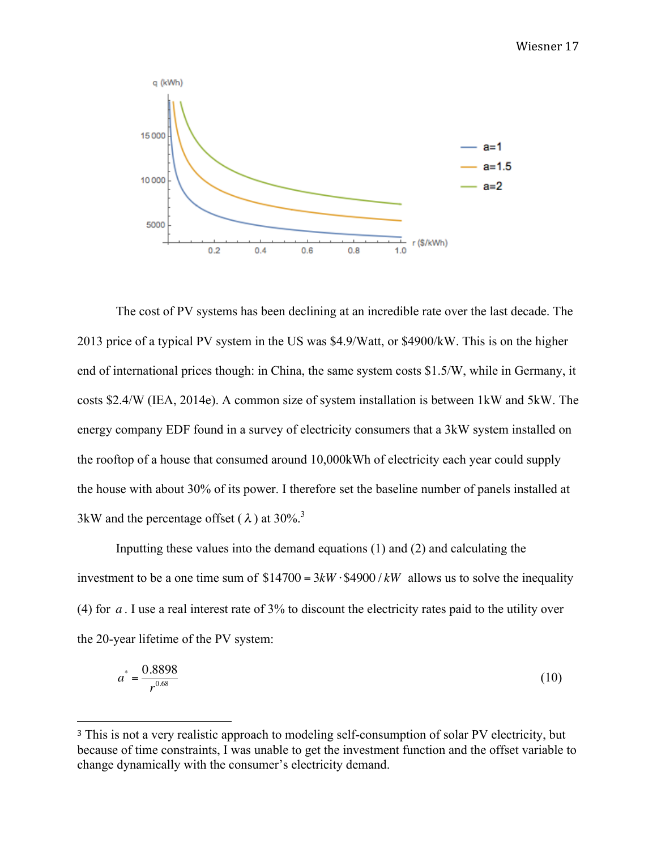

The cost of PV systems has been declining at an incredible rate over the last decade. The 2013 price of a typical PV system in the US was \$4.9/Watt, or \$4900/kW. This is on the higher end of international prices though: in China, the same system costs \$1.5/W, while in Germany, it costs \$2.4/W (IEA, 2014e). A common size of system installation is between 1kW and 5kW. The energy company EDF found in a survey of electricity consumers that a 3kW system installed on the rooftop of a house that consumed around 10,000kWh of electricity each year could supply the house with about 30% of its power. I therefore set the baseline number of panels installed at 3kW and the percentage offset ( $\lambda$ ) at 30%.<sup>3</sup>

Inputting these values into the demand equations (1) and (2) and calculating the investment to be a one time sum of  $$14700 = 3kW \cdot $4900 / kW$  allows us to solve the inequality (4) for *a* . I use a real interest rate of 3% to discount the electricity rates paid to the utility over the 20-year lifetime of the PV system:

$$
a^* = \frac{0.8898}{r^{0.68}}
$$
 (10)

 

<sup>&</sup>lt;sup>3</sup> This is not a very realistic approach to modeling self-consumption of solar PV electricity, but because of time constraints, I was unable to get the investment function and the offset variable to change dynamically with the consumer's electricity demand.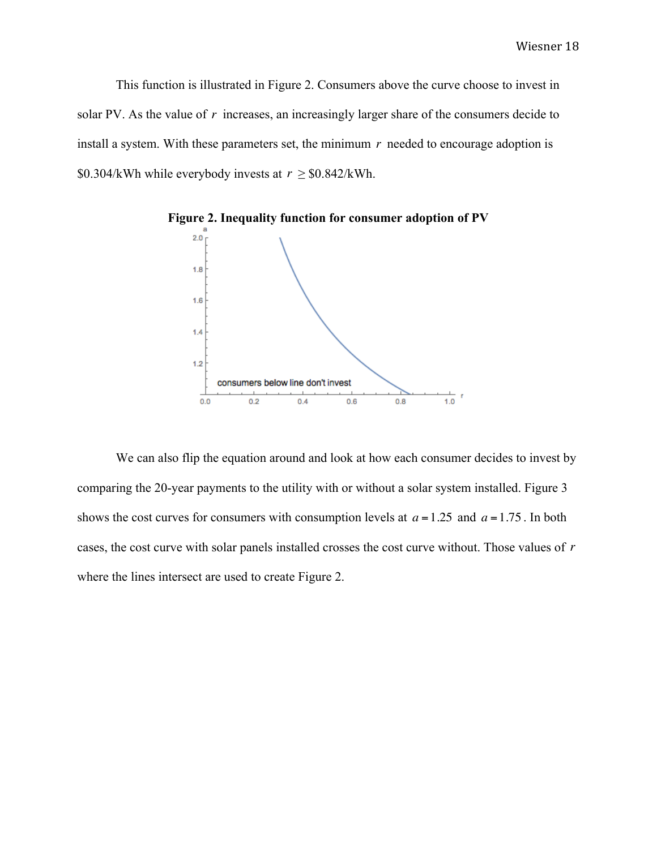This function is illustrated in Figure 2. Consumers above the curve choose to invest in solar PV. As the value of r increases, an increasingly larger share of the consumers decide to install a system. With these parameters set, the minimum  $r$  needed to encourage adoption is \$0.304/kWh while everybody invests at  $r \geq$ \$0.842/kWh.



**Figure 2. Inequality function for consumer adoption of PV**

We can also flip the equation around and look at how each consumer decides to invest by comparing the 20-year payments to the utility with or without a solar system installed. Figure 3 shows the cost curves for consumers with consumption levels at  $a = 1.25$  and  $a = 1.75$ . In both cases, the cost curve with solar panels installed crosses the cost curve without. Those values of *r* where the lines intersect are used to create Figure 2.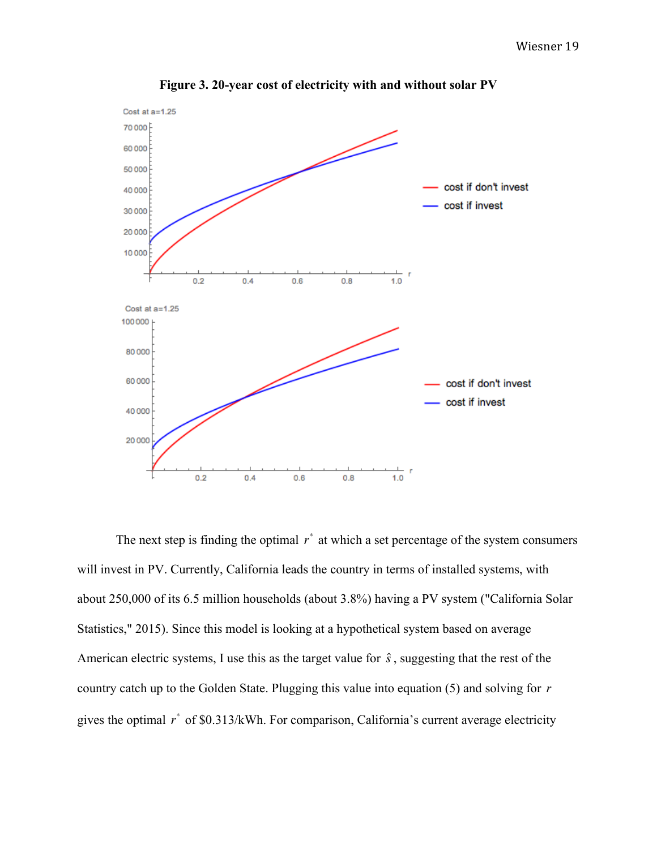

**Figure 3. 20-year cost of electricity with and without solar PV**

The next step is finding the optimal  $r^*$  at which a set percentage of the system consumers will invest in PV. Currently, California leads the country in terms of installed systems, with about 250,000 of its 6.5 million households (about 3.8%) having a PV system ("California Solar Statistics," 2015). Since this model is looking at a hypothetical system based on average American electric systems, I use this as the target value for  $\hat{s}$ , suggesting that the rest of the country catch up to the Golden State. Plugging this value into equation (5) and solving for *r* gives the optimal  $r^*$  of \$0.313/kWh. For comparison, California's current average electricity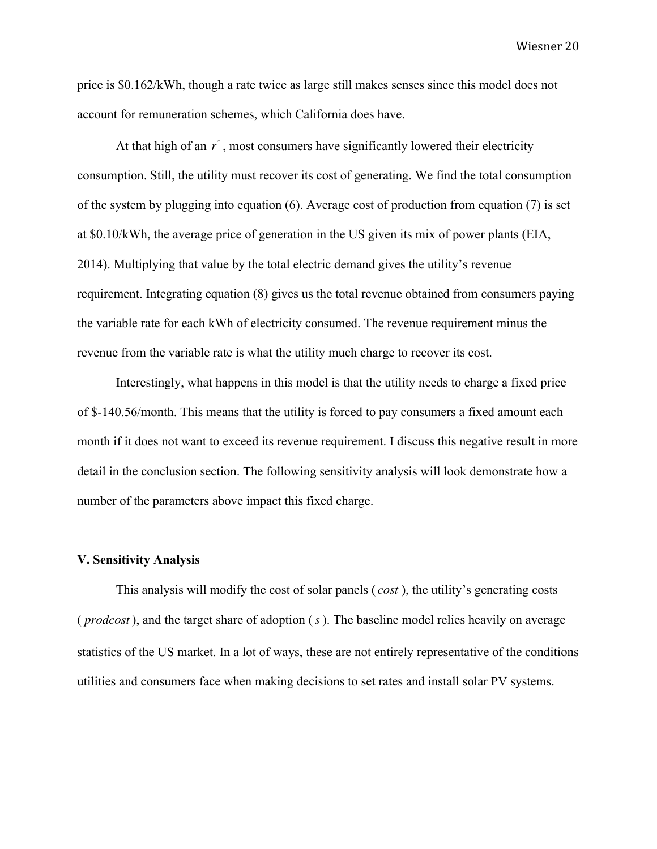price is \$0.162/kWh, though a rate twice as large still makes senses since this model does not account for remuneration schemes, which California does have.

At that high of an  $r^*$ , most consumers have significantly lowered their electricity consumption. Still, the utility must recover its cost of generating. We find the total consumption of the system by plugging into equation (6). Average cost of production from equation (7) is set at \$0.10/kWh, the average price of generation in the US given its mix of power plants (EIA, 2014). Multiplying that value by the total electric demand gives the utility's revenue requirement. Integrating equation (8) gives us the total revenue obtained from consumers paying the variable rate for each kWh of electricity consumed. The revenue requirement minus the revenue from the variable rate is what the utility much charge to recover its cost.

Interestingly, what happens in this model is that the utility needs to charge a fixed price of \$-140.56/month. This means that the utility is forced to pay consumers a fixed amount each month if it does not want to exceed its revenue requirement. I discuss this negative result in more detail in the conclusion section. The following sensitivity analysis will look demonstrate how a number of the parameters above impact this fixed charge.

# **V. Sensitivity Analysis**

This analysis will modify the cost of solar panels ( *cost* ), the utility's generating costs ( *prodcost* ), and the target share of adoption (*s* ). The baseline model relies heavily on average statistics of the US market. In a lot of ways, these are not entirely representative of the conditions utilities and consumers face when making decisions to set rates and install solar PV systems.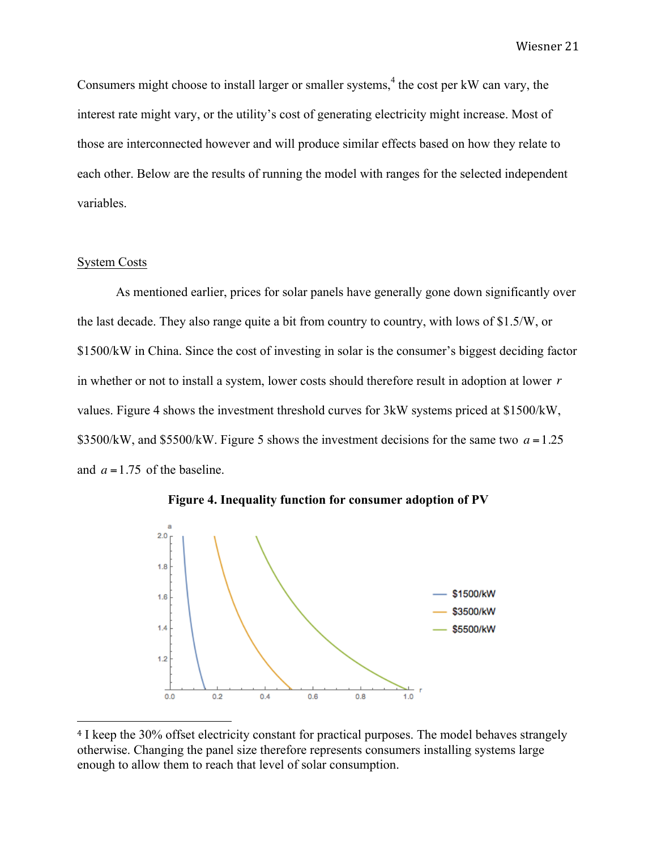Consumers might choose to install larger or smaller systems,<sup>4</sup> the cost per kW can vary, the interest rate might vary, or the utility's cost of generating electricity might increase. Most of those are interconnected however and will produce similar effects based on how they relate to each other. Below are the results of running the model with ranges for the selected independent variables.

### System Costs

As mentioned earlier, prices for solar panels have generally gone down significantly over the last decade. They also range quite a bit from country to country, with lows of \$1.5/W, or \$1500/kW in China. Since the cost of investing in solar is the consumer's biggest deciding factor in whether or not to install a system, lower costs should therefore result in adoption at lower *r* values. Figure 4 shows the investment threshold curves for 3kW systems priced at \$1500/kW, \$3500/kW, and \$5500/kW. Figure 5 shows the investment decisions for the same two  $a = 1.25$ and  $a = 1.75$  of the baseline.





<sup>&</sup>lt;sup>4</sup> I keep the 30% offset electricity constant for practical purposes. The model behaves strangely otherwise. Changing the panel size therefore represents consumers installing systems large enough to allow them to reach that level of solar consumption.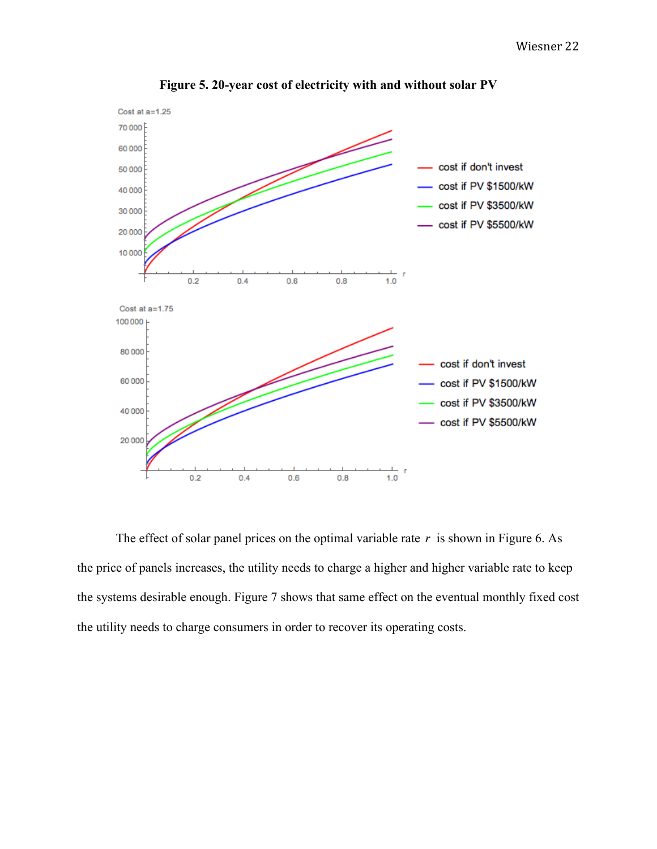

**Figure 5. 20-year cost of electricity with and without solar PV**

The effect of solar panel prices on the optimal variable rate  $r$  is shown in Figure 6. As the price of panels increases, the utility needs to charge a higher and higher variable rate to keep the systems desirable enough. Figure 7 shows that same effect on the eventual monthly fixed cost the utility needs to charge consumers in order to recover its operating costs.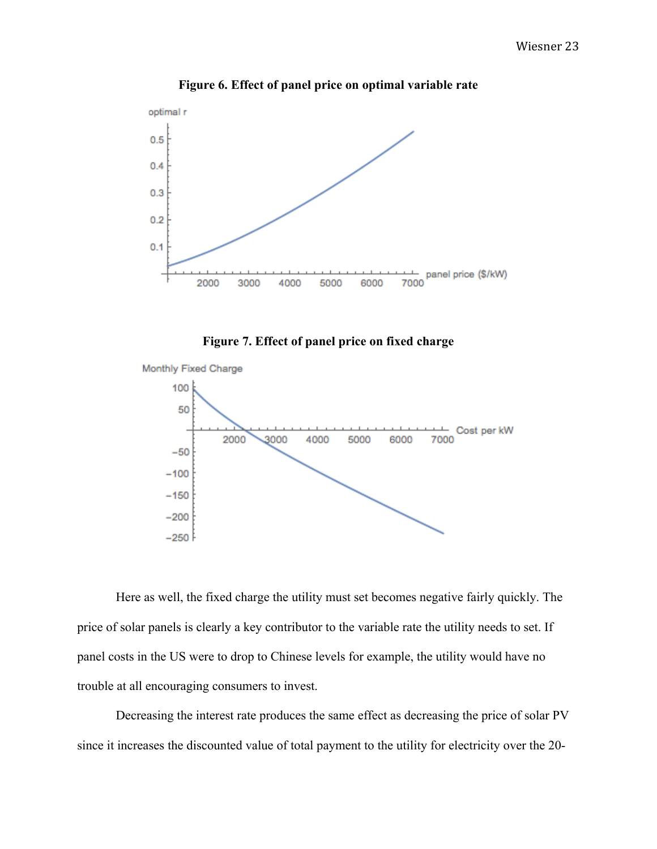

**Figure 6. Effect of panel price on optimal variable rate**





Here as well, the fixed charge the utility must set becomes negative fairly quickly. The price of solar panels is clearly a key contributor to the variable rate the utility needs to set. If panel costs in the US were to drop to Chinese levels for example, the utility would have no trouble at all encouraging consumers to invest.

Decreasing the interest rate produces the same effect as decreasing the price of solar PV since it increases the discounted value of total payment to the utility for electricity over the 20-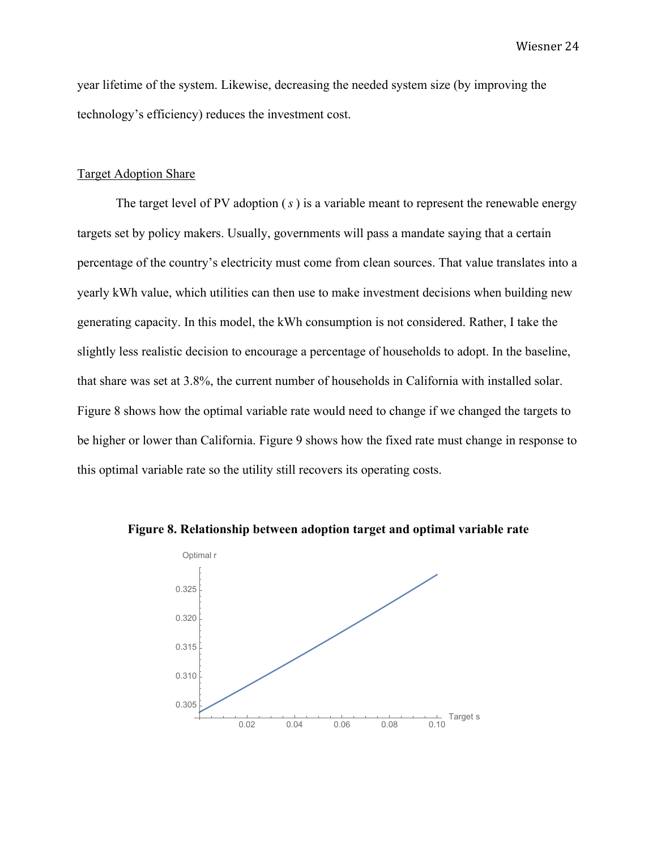year lifetime of the system. Likewise, decreasing the needed system size (by improving the technology's efficiency) reduces the investment cost.

#### Target Adoption Share

The target level of PV adoption (*s* ) is a variable meant to represent the renewable energy targets set by policy makers. Usually, governments will pass a mandate saying that a certain percentage of the country's electricity must come from clean sources. That value translates into a yearly kWh value, which utilities can then use to make investment decisions when building new generating capacity. In this model, the kWh consumption is not considered. Rather, I take the slightly less realistic decision to encourage a percentage of households to adopt. In the baseline, that share was set at 3.8%, the current number of households in California with installed solar. Figure 8 shows how the optimal variable rate would need to change if we changed the targets to be higher or lower than California. Figure 9 shows how the fixed rate must change in response to this optimal variable rate so the utility still recovers its operating costs.



**Figure 8. Relationship between adoption target and optimal variable rate**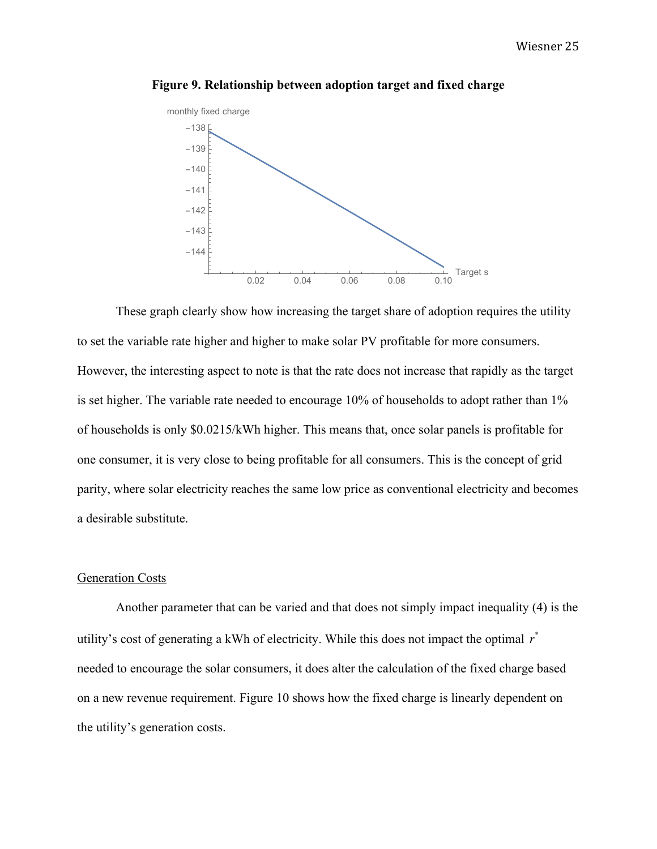

**Figure 9. Relationship between adoption target and fixed charge**

These graph clearly show how increasing the target share of adoption requires the utility to set the variable rate higher and higher to make solar PV profitable for more consumers. However, the interesting aspect to note is that the rate does not increase that rapidly as the target is set higher. The variable rate needed to encourage 10% of households to adopt rather than 1% of households is only \$0.0215/kWh higher. This means that, once solar panels is profitable for one consumer, it is very close to being profitable for all consumers. This is the concept of grid parity, where solar electricity reaches the same low price as conventional electricity and becomes a desirable substitute.

## Generation Costs

Another parameter that can be varied and that does not simply impact inequality (4) is the utility's cost of generating a kWh of electricity. While this does not impact the optimal *r* \* needed to encourage the solar consumers, it does alter the calculation of the fixed charge based on a new revenue requirement. Figure 10 shows how the fixed charge is linearly dependent on the utility's generation costs.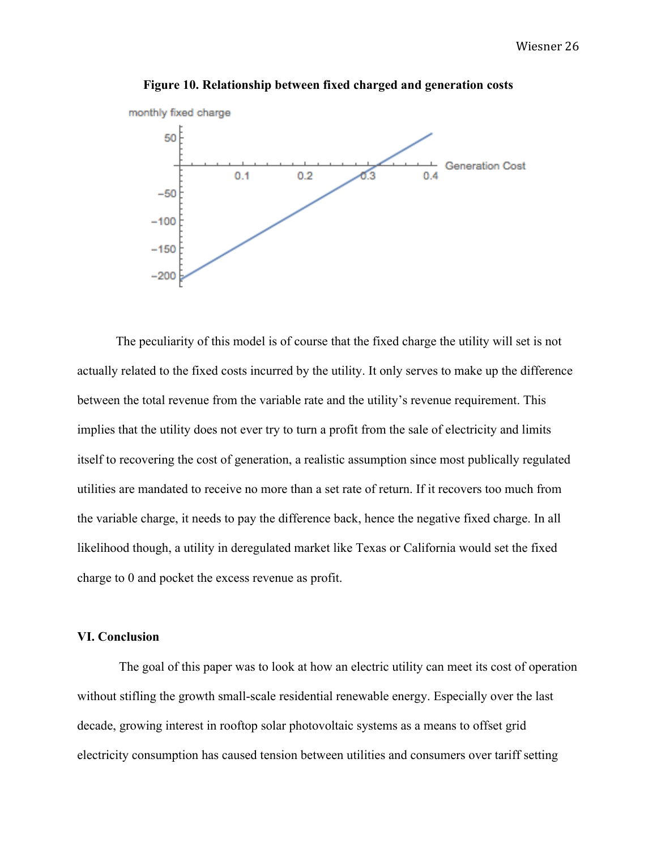

**Figure 10. Relationship between fixed charged and generation costs**

The peculiarity of this model is of course that the fixed charge the utility will set is not actually related to the fixed costs incurred by the utility. It only serves to make up the difference between the total revenue from the variable rate and the utility's revenue requirement. This implies that the utility does not ever try to turn a profit from the sale of electricity and limits itself to recovering the cost of generation, a realistic assumption since most publically regulated utilities are mandated to receive no more than a set rate of return. If it recovers too much from the variable charge, it needs to pay the difference back, hence the negative fixed charge. In all likelihood though, a utility in deregulated market like Texas or California would set the fixed charge to 0 and pocket the excess revenue as profit.

# **VI. Conclusion**

The goal of this paper was to look at how an electric utility can meet its cost of operation without stifling the growth small-scale residential renewable energy. Especially over the last decade, growing interest in rooftop solar photovoltaic systems as a means to offset grid electricity consumption has caused tension between utilities and consumers over tariff setting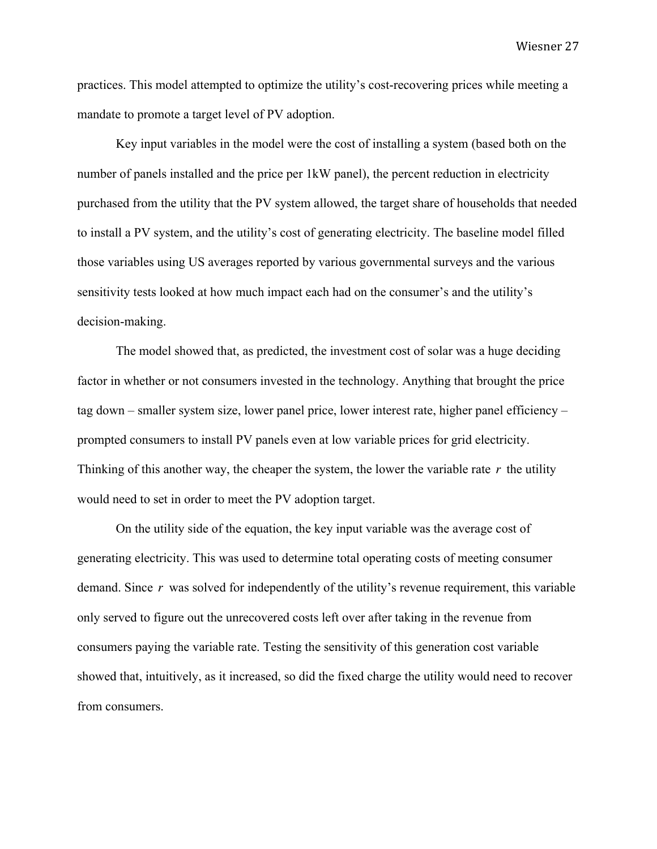practices. This model attempted to optimize the utility's cost-recovering prices while meeting a mandate to promote a target level of PV adoption.

Key input variables in the model were the cost of installing a system (based both on the number of panels installed and the price per 1kW panel), the percent reduction in electricity purchased from the utility that the PV system allowed, the target share of households that needed to install a PV system, and the utility's cost of generating electricity. The baseline model filled those variables using US averages reported by various governmental surveys and the various sensitivity tests looked at how much impact each had on the consumer's and the utility's decision-making.

The model showed that, as predicted, the investment cost of solar was a huge deciding factor in whether or not consumers invested in the technology. Anything that brought the price tag down – smaller system size, lower panel price, lower interest rate, higher panel efficiency – prompted consumers to install PV panels even at low variable prices for grid electricity. Thinking of this another way, the cheaper the system, the lower the variable rate *r* the utility would need to set in order to meet the PV adoption target.

On the utility side of the equation, the key input variable was the average cost of generating electricity. This was used to determine total operating costs of meeting consumer demand. Since *r* was solved for independently of the utility's revenue requirement, this variable only served to figure out the unrecovered costs left over after taking in the revenue from consumers paying the variable rate. Testing the sensitivity of this generation cost variable showed that, intuitively, as it increased, so did the fixed charge the utility would need to recover from consumers.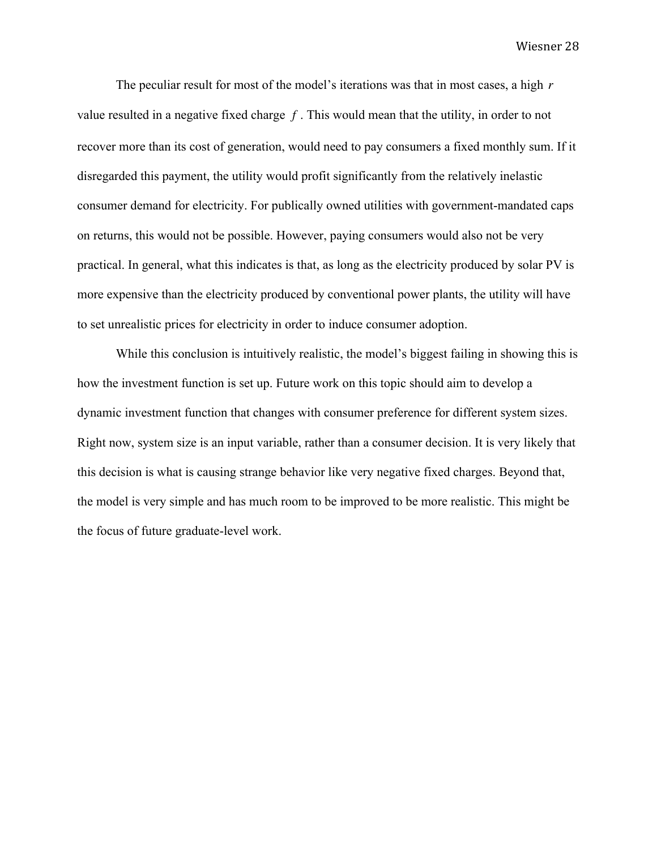The peculiar result for most of the model's iterations was that in most cases, a high *r* value resulted in a negative fixed charge *f* . This would mean that the utility, in order to not recover more than its cost of generation, would need to pay consumers a fixed monthly sum. If it disregarded this payment, the utility would profit significantly from the relatively inelastic consumer demand for electricity. For publically owned utilities with government-mandated caps on returns, this would not be possible. However, paying consumers would also not be very practical. In general, what this indicates is that, as long as the electricity produced by solar PV is more expensive than the electricity produced by conventional power plants, the utility will have to set unrealistic prices for electricity in order to induce consumer adoption.

While this conclusion is intuitively realistic, the model's biggest failing in showing this is how the investment function is set up. Future work on this topic should aim to develop a dynamic investment function that changes with consumer preference for different system sizes. Right now, system size is an input variable, rather than a consumer decision. It is very likely that this decision is what is causing strange behavior like very negative fixed charges. Beyond that, the model is very simple and has much room to be improved to be more realistic. This might be the focus of future graduate-level work.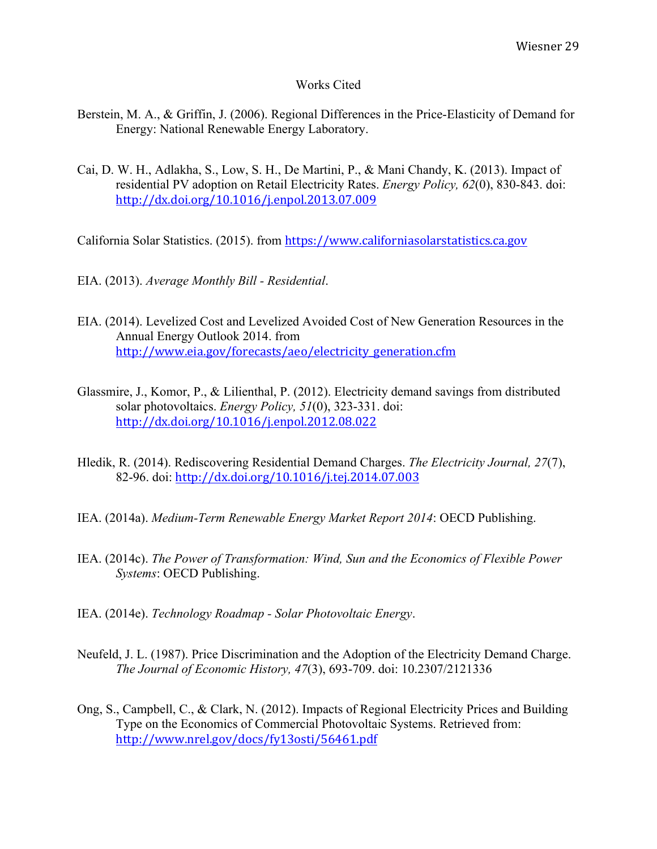# Works Cited

- Berstein, M. A., & Griffin, J. (2006). Regional Differences in the Price-Elasticity of Demand for Energy: National Renewable Energy Laboratory.
- Cai, D. W. H., Adlakha, S., Low, S. H., De Martini, P., & Mani Chandy, K. (2013). Impact of residential PV adoption on Retail Electricity Rates. *Energy Policy, 62*(0), 830-843. doi: http://dx.doi.org/10.1016/j.enpol.2013.07.009

California Solar Statistics. (2015). from https://www.californiasolarstatistics.ca.gov

- EIA. (2013). *Average Monthly Bill - Residential*.
- EIA. (2014). Levelized Cost and Levelized Avoided Cost of New Generation Resources in the Annual Energy Outlook 2014. from http://www.eia.gov/forecasts/aeo/electricity\_generation.cfm
- Glassmire, J., Komor, P., & Lilienthal, P. (2012). Electricity demand savings from distributed solar photovoltaics. *Energy Policy, 51*(0), 323-331. doi: http://dx.doi.org/10.1016/j.enpol.2012.08.022
- Hledik, R. (2014). Rediscovering Residential Demand Charges. *The Electricity Journal, 27*(7), 82-96. doi: http://dx.doi.org/10.1016/j.tej.2014.07.003
- IEA. (2014a). *Medium-Term Renewable Energy Market Report 2014*: OECD Publishing.
- IEA. (2014c). *The Power of Transformation: Wind, Sun and the Economics of Flexible Power Systems*: OECD Publishing.
- IEA. (2014e). *Technology Roadmap - Solar Photovoltaic Energy*.
- Neufeld, J. L. (1987). Price Discrimination and the Adoption of the Electricity Demand Charge. *The Journal of Economic History, 47*(3), 693-709. doi: 10.2307/2121336
- Ong, S., Campbell, C., & Clark, N. (2012). Impacts of Regional Electricity Prices and Building Type on the Economics of Commercial Photovoltaic Systems. Retrieved from: http://www.nrel.gov/docs/fy13osti/56461.pdf